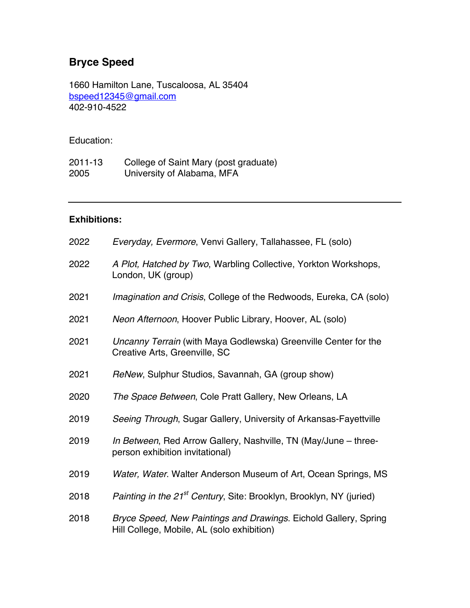## **Bryce Speed**

1660 Hamilton Lane, Tuscaloosa, AL 35404 bspeed12345@gmail.com 402-910-4522

## Education:

2011-13 College of Saint Mary (post graduate) 2005 University of Alabama, MFA

## **Exhibitions:**

| 2022 | Everyday, Evermore, Venvi Gallery, Tallahassee, FL (solo)                                                      |
|------|----------------------------------------------------------------------------------------------------------------|
| 2022 | A Plot, Hatched by Two, Warbling Collective, Yorkton Workshops,<br>London, UK (group)                          |
| 2021 | Imagination and Crisis, College of the Redwoods, Eureka, CA (solo)                                             |
| 2021 | Neon Afternoon, Hoover Public Library, Hoover, AL (solo)                                                       |
| 2021 | Uncanny Terrain (with Maya Godlewska) Greenville Center for the<br>Creative Arts, Greenville, SC               |
| 2021 | ReNew, Sulphur Studios, Savannah, GA (group show)                                                              |
| 2020 | The Space Between, Cole Pratt Gallery, New Orleans, LA                                                         |
| 2019 | Seeing Through, Sugar Gallery, University of Arkansas-Fayettville                                              |
| 2019 | In Between, Red Arrow Gallery, Nashville, TN (May/June – three-<br>person exhibition invitational)             |
| 2019 | Water, Water. Walter Anderson Museum of Art, Ocean Springs, MS                                                 |
| 2018 | Painting in the 21 <sup>st</sup> Century, Site: Brooklyn, Brooklyn, NY (juried)                                |
| 2018 | Bryce Speed, New Paintings and Drawings. Eichold Gallery, Spring<br>Hill College, Mobile, AL (solo exhibition) |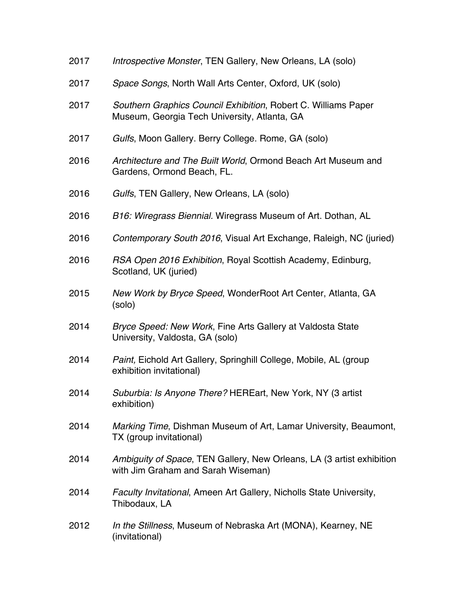| 2017 | Introspective Monster, TEN Gallery, New Orleans, LA (solo)                                                     |
|------|----------------------------------------------------------------------------------------------------------------|
| 2017 | Space Songs, North Wall Arts Center, Oxford, UK (solo)                                                         |
| 2017 | Southern Graphics Council Exhibition, Robert C. Williams Paper<br>Museum, Georgia Tech University, Atlanta, GA |
| 2017 | Gulfs, Moon Gallery. Berry College. Rome, GA (solo)                                                            |
| 2016 | Architecture and The Built World, Ormond Beach Art Museum and<br>Gardens, Ormond Beach, FL.                    |
| 2016 | Gulfs, TEN Gallery, New Orleans, LA (solo)                                                                     |
| 2016 | B16: Wiregrass Biennial. Wiregrass Museum of Art. Dothan, AL                                                   |
| 2016 | Contemporary South 2016, Visual Art Exchange, Raleigh, NC (juried)                                             |
| 2016 | RSA Open 2016 Exhibition, Royal Scottish Academy, Edinburg,<br>Scotland, UK (juried)                           |
| 2015 | New Work by Bryce Speed, WonderRoot Art Center, Atlanta, GA<br>(solo)                                          |
| 2014 | Bryce Speed: New Work, Fine Arts Gallery at Valdosta State<br>University, Valdosta, GA (solo)                  |
| 2014 | Paint, Eichold Art Gallery, Springhill College, Mobile, AL (group<br>exhibition invitational)                  |
| 2014 | Suburbia: Is Anyone There? HEREart, New York, NY (3 artist<br>exhibition)                                      |
| 2014 | Marking Time, Dishman Museum of Art, Lamar University, Beaumont,<br>TX (group invitational)                    |
| 2014 | Ambiguity of Space, TEN Gallery, New Orleans, LA (3 artist exhibition<br>with Jim Graham and Sarah Wiseman)    |
| 2014 | Faculty Invitational, Ameen Art Gallery, Nicholls State University,<br>Thibodaux, LA                           |
| 2012 | In the Stillness, Museum of Nebraska Art (MONA), Kearney, NE<br>(invitational)                                 |